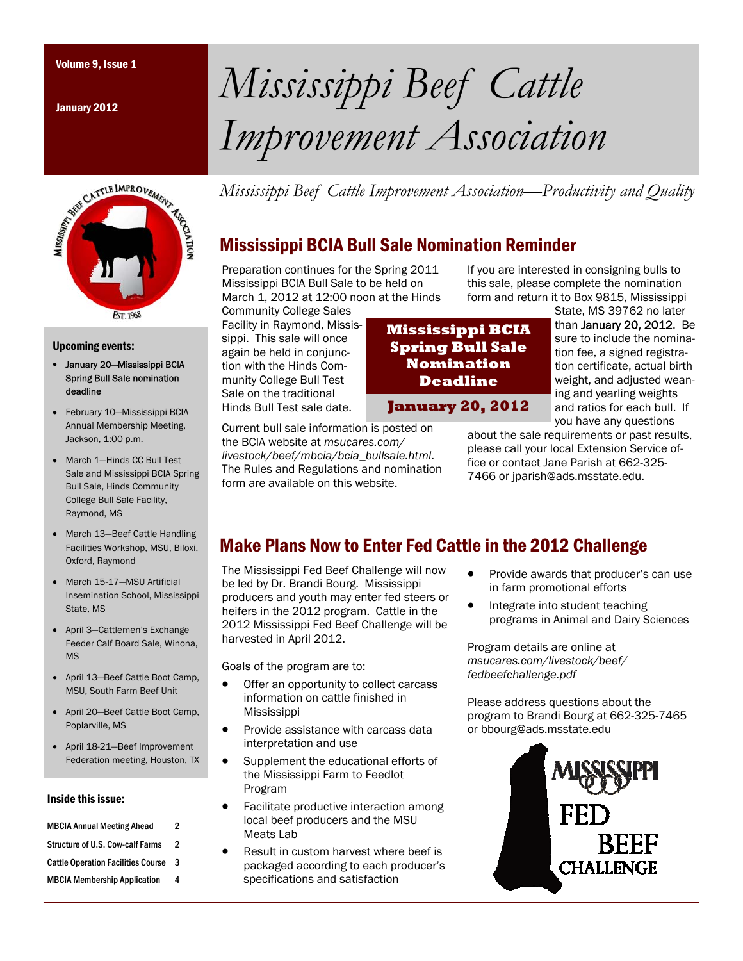January 2012



#### Upcoming events:

- January 20—Mississippi BCIA Spring Bull Sale nomination deadline
- February 10-Mississippi BCIA Annual Membership Meeting, Jackson, 1:00 p.m.
- March 1-Hinds CC Bull Test Sale and Mississippi BCIA Spring Bull Sale, Hinds Community College Bull Sale Facility, Raymond, MS
- March 13—Beef Cattle Handling Facilities Workshop, MSU, Biloxi, Oxford, Raymond
- March 15-17—MSU Artificial Insemination School, Mississippi State, MS
- April 3-Cattlemen's Exchange Feeder Calf Board Sale, Winona, MS
- April 13—Beef Cattle Boot Camp, MSU, South Farm Beef Unit
- April 20—Beef Cattle Boot Camp, Poplarville, MS
- April 18-21—Beef Improvement Federation meeting, Houston, TX

#### Inside this issue:

| <b>MBCIA Annual Meeting Ahead</b>         | 2 |
|-------------------------------------------|---|
| <b>Structure of U.S. Cow-calf Farms</b>   | 2 |
| <b>Cattle Operation Facilities Course</b> | 3 |
| <b>MBCIA Membership Application</b>       | 4 |

Volume 9, Issue 1 *Mississippi Beef Cattle Improvement Association* 

*Mississippi Beef Cattle Improvement Association—Productivity and Quality* 

## Mississippi BCIA Bull Sale Nomination Reminder

Preparation continues for the Spring 2011 Mississippi BCIA Bull Sale to be held on March 1, 2012 at 12:00 noon at the Hinds

Current bull sale information is posted on the BCIA website at *msucares.com/ livestock/beef/mbcia/bcia\_bullsale.html*. The Rules and Regulations and nomination

form are available on this website.

Community College Sales Facility in Raymond, Mississippi. This sale will once again be held in conjunction with the Hinds Community College Bull Test Sale on the traditional Hinds Bull Test sale date.

**Mississippi BCIA Spring Bull Sale Nomination Deadline** 

If you are interested in consigning bulls to this sale, please complete the nomination form and return it to Box 9815, Mississippi State, MS 39762 no later

than January 20, 2012. Be sure to include the nomination fee, a signed registration certificate, actual birth weight, and adjusted weaning and yearling weights and ratios for each bull. If you have any questions **January 20, 2012** 

about the sale requirements or past results, please call your local Extension Service office or contact Jane Parish at 662-325- 7466 or jparish@ads.msstate.edu.

## Make Plans Now to Enter Fed Cattle in the 2012 Challenge

The Mississippi Fed Beef Challenge will now be led by Dr. Brandi Bourg. Mississippi producers and youth may enter fed steers or heifers in the 2012 program. Cattle in the 2012 Mississippi Fed Beef Challenge will be harvested in April 2012.

Goals of the program are to:

- Offer an opportunity to collect carcass information on cattle finished in Mississippi
- Provide assistance with carcass data interpretation and use
- Supplement the educational efforts of the Mississippi Farm to Feedlot Program
- Facilitate productive interaction among local beef producers and the MSU Meats Lah
- Result in custom harvest where beef is packaged according to each producer's specifications and satisfaction
- Provide awards that producer's can use in farm promotional efforts
- Integrate into student teaching programs in Animal and Dairy Sciences

Program details are online at *msucares.com/livestock/beef/ fedbeefchallenge.pdf* 

Please address questions about the program to Brandi Bourg at 662-325-7465 or bbourg@ads.msstate.edu

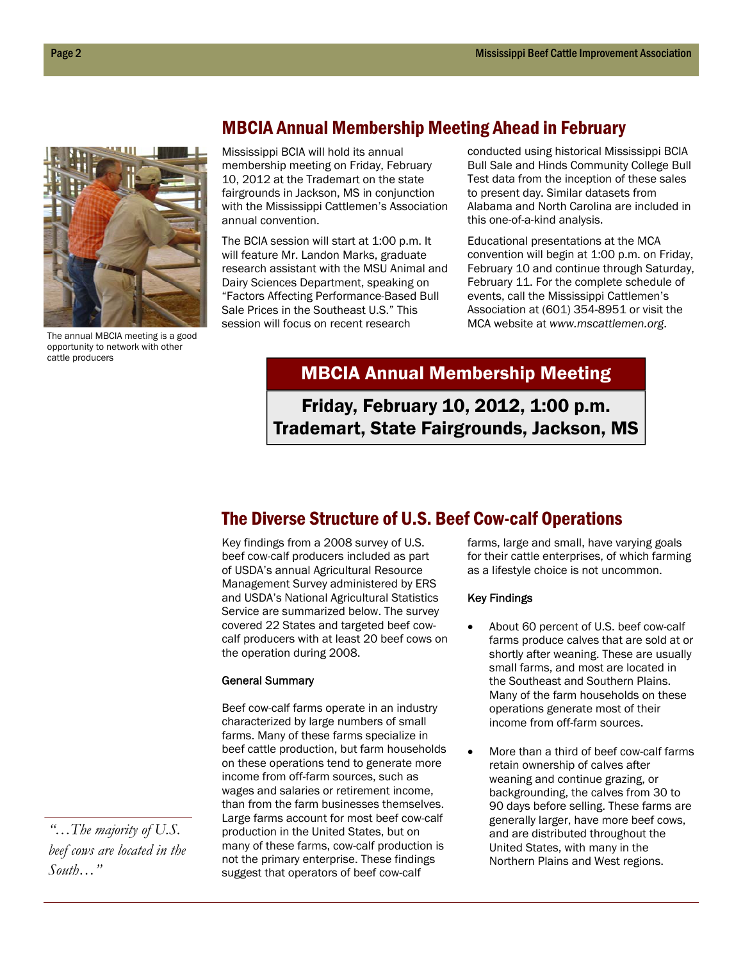

The annual MBCIA meeting is a good opportunity to network with other cattle producers

### MBCIA Annual Membership Meeting Ahead in February

Mississippi BCIA will hold its annual membership meeting on Friday, February 10, 2012 at the Trademart on the state fairgrounds in Jackson, MS in conjunction with the Mississippi Cattlemen's Association annual convention.

The BCIA session will start at 1:00 p.m. It will feature Mr. Landon Marks, graduate research assistant with the MSU Animal and Dairy Sciences Department, speaking on "Factors Affecting Performance-Based Bull Sale Prices in the Southeast U.S." This session will focus on recent research

conducted using historical Mississippi BCIA Bull Sale and Hinds Community College Bull Test data from the inception of these sales to present day. Similar datasets from Alabama and North Carolina are included in this one-of-a-kind analysis.

Educational presentations at the MCA convention will begin at 1:00 p.m. on Friday, February 10 and continue through Saturday, February 11. For the complete schedule of events, call the Mississippi Cattlemen's Association at (601) 354-8951 or visit the MCA website at *www.mscattlemen.org*.

## MBCIA Annual Membership Meeting

Friday, February 10, 2012, 1:00 p.m. Trademart, State Fairgrounds, Jackson, MS

### The Diverse Structure of U.S. Beef Cow-calf Operations

Key findings from a 2008 survey of U.S. beef cow-calf producers included as part of USDA's annual Agricultural Resource Management Survey administered by ERS and USDA's National Agricultural Statistics Service are summarized below. The survey covered 22 States and targeted beef cowcalf producers with at least 20 beef cows on the operation during 2008.

#### General Summary

Beef cow-calf farms operate in an industry characterized by large numbers of small farms. Many of these farms specialize in beef cattle production, but farm households on these operations tend to generate more income from off-farm sources, such as wages and salaries or retirement income, than from the farm businesses themselves. Large farms account for most beef cow-calf production in the United States, but on many of these farms, cow-calf production is not the primary enterprise. These findings suggest that operators of beef cow-calf

farms, large and small, have varying goals for their cattle enterprises, of which farming as a lifestyle choice is not uncommon.

#### Key Findings

- About 60 percent of U.S. beef cow-calf farms produce calves that are sold at or shortly after weaning. These are usually small farms, and most are located in the Southeast and Southern Plains. Many of the farm households on these operations generate most of their income from off-farm sources.
- More than a third of beef cow-calf farms retain ownership of calves after weaning and continue grazing, or backgrounding, the calves from 30 to 90 days before selling. These farms are generally larger, have more beef cows, and are distributed throughout the United States, with many in the Northern Plains and West regions.

*"…The majority of U.S. beef cows are located in the South…"*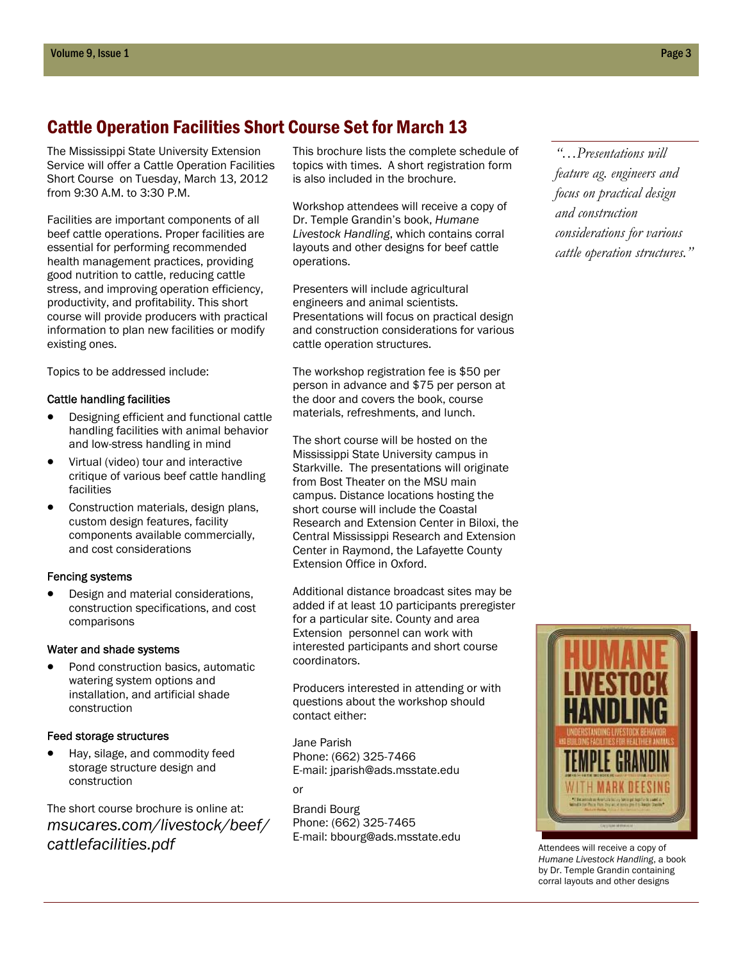### Cattle Operation Facilities Short Course Set for March 13

The Mississippi State University Extension Service will offer a Cattle Operation Facilities Short Course on Tuesday, March 13, 2012 from 9:30 A.M. to 3:30 P.M.

Facilities are important components of all beef cattle operations. Proper facilities are essential for performing recommended health management practices, providing good nutrition to cattle, reducing cattle stress, and improving operation efficiency, productivity, and profitability. This short course will provide producers with practical information to plan new facilities or modify existing ones.

Topics to be addressed include:

#### Cattle handling facilities

- Designing efficient and functional cattle handling facilities with animal behavior and low-stress handling in mind
- Virtual (video) tour and interactive critique of various beef cattle handling facilities
- Construction materials, design plans, custom design features, facility components available commercially, and cost considerations

#### Fencing systems

 Design and material considerations, construction specifications, and cost comparisons

#### Water and shade systems

 Pond construction basics, automatic watering system options and installation, and artificial shade construction

#### Feed storage structures

 Hay, silage, and commodity feed storage structure design and construction

The short course brochure is online at: *msucares.com/livestock/beef/ cattlefacilities.pdf* 

This brochure lists the complete schedule of topics with times. A short registration form is also included in the brochure.

Workshop attendees will receive a copy of Dr. Temple Grandin's book, *Humane Livestock Handling*, which contains corral layouts and other designs for beef cattle operations.

Presenters will include agricultural engineers and animal scientists. Presentations will focus on practical design and construction considerations for various cattle operation structures.

The workshop registration fee is \$50 per person in advance and \$75 per person at the door and covers the book, course materials, refreshments, and lunch.

The short course will be hosted on the Mississippi State University campus in Starkville. The presentations will originate from Bost Theater on the MSU main campus. Distance locations hosting the short course will include the Coastal Research and Extension Center in Biloxi, the Central Mississippi Research and Extension Center in Raymond, the Lafayette County Extension Office in Oxford.

Additional distance broadcast sites may be added if at least 10 participants preregister for a particular site. County and area Extension personnel can work with interested participants and short course coordinators.

Producers interested in attending or with questions about the workshop should contact either:

Jane Parish Phone: (662) 325-7466 E-mail: jparish@ads.msstate.edu

or

Brandi Bourg Phone: (662) 325-7465 E-mail: bbourg@ads.msstate.edu

*"…Presentations will feature ag. engineers and focus on practical design and construction considerations for various cattle operation structures."* 



Attendees will receive a copy of *Humane Livestock Handling*, a book by Dr. Temple Grandin containing corral layouts and other designs